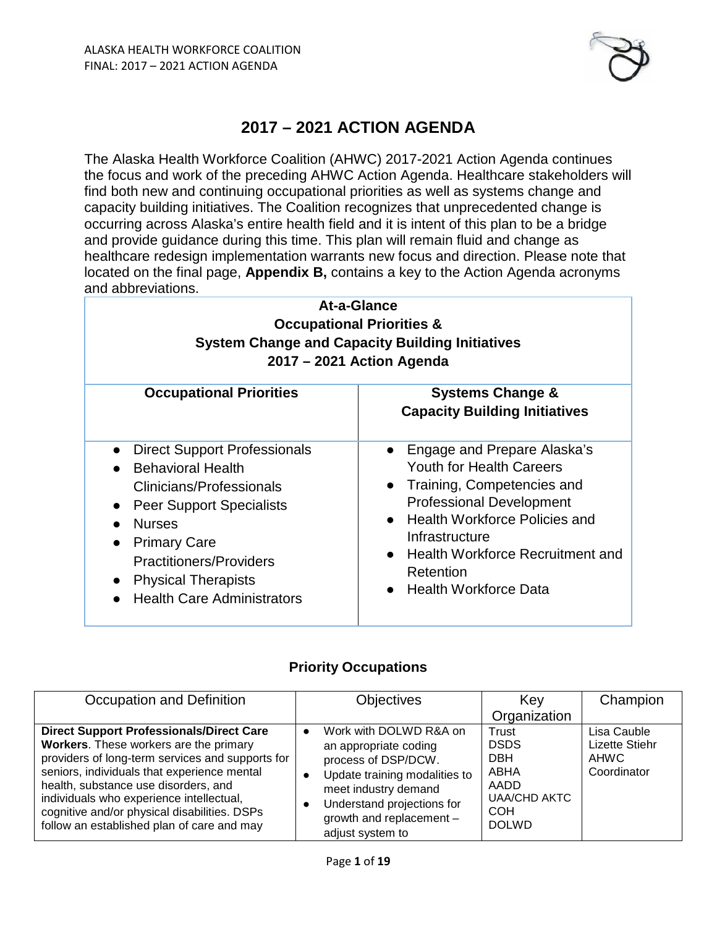

# **2017 – 2021 ACTION AGENDA**

The Alaska Health Workforce Coalition (AHWC) 2017-2021 Action Agenda continues the focus and work of the preceding AHWC Action Agenda. Healthcare stakeholders will find both new and continuing occupational priorities as well as systems change and capacity building initiatives. The Coalition recognizes that unprecedented change is occurring across Alaska's entire health field and it is intent of this plan to be a bridge and provide guidance during this time. This plan will remain fluid and change as healthcare redesign implementation warrants new focus and direction. Please note that located on the final page, **Appendix B,** contains a key to the Action Agenda acronyms and abbreviations.

| At-a-Glance<br><b>Occupational Priorities &amp;</b><br><b>System Change and Capacity Building Initiatives</b><br>2017 – 2021 Action Agenda                                                                                                                                          |                                                                                                                                                                                                                                                                                                      |  |  |  |
|-------------------------------------------------------------------------------------------------------------------------------------------------------------------------------------------------------------------------------------------------------------------------------------|------------------------------------------------------------------------------------------------------------------------------------------------------------------------------------------------------------------------------------------------------------------------------------------------------|--|--|--|
| <b>Occupational Priorities</b>                                                                                                                                                                                                                                                      | <b>Systems Change &amp;</b><br><b>Capacity Building Initiatives</b>                                                                                                                                                                                                                                  |  |  |  |
| <b>Direct Support Professionals</b><br>$\bullet$<br><b>Behavioral Health</b><br>Clinicians/Professionals<br>• Peer Support Specialists<br><b>Nurses</b><br><b>Primary Care</b><br><b>Practitioners/Providers</b><br><b>Physical Therapists</b><br><b>Health Care Administrators</b> | Engage and Prepare Alaska's<br>$\bullet$<br><b>Youth for Health Careers</b><br>Training, Competencies and<br>$\bullet$<br><b>Professional Development</b><br><b>Health Workforce Policies and</b><br>Infrastructure<br>Health Workforce Recruitment and<br>Retention<br><b>Health Workforce Data</b> |  |  |  |

# **Priority Occupations**

| Occupation and Definition                                                                                                                                                                                                                                                                                                                                                      | <b>Objectives</b>                                                                                                                                                                                             | Key<br>Organization                                                                                     | Champion                                                           |
|--------------------------------------------------------------------------------------------------------------------------------------------------------------------------------------------------------------------------------------------------------------------------------------------------------------------------------------------------------------------------------|---------------------------------------------------------------------------------------------------------------------------------------------------------------------------------------------------------------|---------------------------------------------------------------------------------------------------------|--------------------------------------------------------------------|
| <b>Direct Support Professionals/Direct Care</b><br>Workers. These workers are the primary<br>providers of long-term services and supports for<br>seniors, individuals that experience mental<br>health, substance use disorders, and<br>individuals who experience intellectual,<br>cognitive and/or physical disabilities. DSPs<br>follow an established plan of care and may | Work with DOLWD R&A on<br>an appropriate coding<br>process of DSP/DCW.<br>Update training modalities to<br>meet industry demand<br>Understand projections for<br>growth and replacement -<br>adjust system to | Trust<br><b>DSDS</b><br><b>DBH</b><br>ABHA<br>AADD<br><b>UAA/CHD AKTC</b><br><b>COH</b><br><b>DOLWD</b> | Lisa Cauble<br><b>Lizette Stiehr</b><br><b>AHWC</b><br>Coordinator |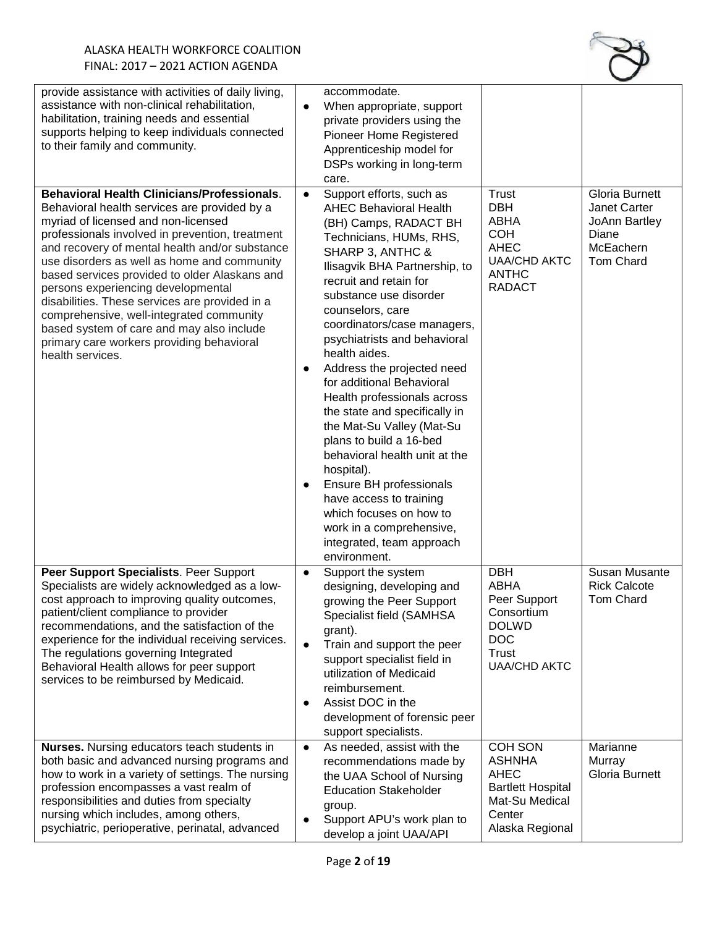

| provide assistance with activities of daily living,<br>assistance with non-clinical rehabilitation,<br>habilitation, training needs and essential<br>supports helping to keep individuals connected<br>to their family and community.                                                                                                                                                                                                                                                                                                                                                            |                                     | accommodate.<br>When appropriate, support<br>private providers using the<br>Pioneer Home Registered<br>Apprenticeship model for<br>DSPs working in long-term<br>care.                                                                                                                                                                                                                                                                                                                                                                                                                                                                                                                                                  |                                                                                                                           |                                                                                    |
|--------------------------------------------------------------------------------------------------------------------------------------------------------------------------------------------------------------------------------------------------------------------------------------------------------------------------------------------------------------------------------------------------------------------------------------------------------------------------------------------------------------------------------------------------------------------------------------------------|-------------------------------------|------------------------------------------------------------------------------------------------------------------------------------------------------------------------------------------------------------------------------------------------------------------------------------------------------------------------------------------------------------------------------------------------------------------------------------------------------------------------------------------------------------------------------------------------------------------------------------------------------------------------------------------------------------------------------------------------------------------------|---------------------------------------------------------------------------------------------------------------------------|------------------------------------------------------------------------------------|
| <b>Behavioral Health Clinicians/Professionals.</b><br>Behavioral health services are provided by a<br>myriad of licensed and non-licensed<br>professionals involved in prevention, treatment<br>and recovery of mental health and/or substance<br>use disorders as well as home and community<br>based services provided to older Alaskans and<br>persons experiencing developmental<br>disabilities. These services are provided in a<br>comprehensive, well-integrated community<br>based system of care and may also include<br>primary care workers providing behavioral<br>health services. | ٠<br>$\bullet$                      | Support efforts, such as<br><b>AHEC Behavioral Health</b><br>(BH) Camps, RADACT BH<br>Technicians, HUMs, RHS,<br>SHARP 3, ANTHC &<br>Ilisagvik BHA Partnership, to<br>recruit and retain for<br>substance use disorder<br>counselors, care<br>coordinators/case managers,<br>psychiatrists and behavioral<br>health aides.<br>Address the projected need<br>for additional Behavioral<br>Health professionals across<br>the state and specifically in<br>the Mat-Su Valley (Mat-Su<br>plans to build a 16-bed<br>behavioral health unit at the<br>hospital).<br>Ensure BH professionals<br>have access to training<br>which focuses on how to<br>work in a comprehensive,<br>integrated, team approach<br>environment. | <b>Trust</b><br><b>DBH</b><br>ABHA<br><b>COH</b><br><b>AHEC</b><br><b>UAA/CHD AKTC</b><br><b>ANTHC</b><br><b>RADACT</b>   | Gloria Burnett<br>Janet Carter<br>JoAnn Bartley<br>Diane<br>McEachern<br>Tom Chard |
| Peer Support Specialists. Peer Support<br>Specialists are widely acknowledged as a low-<br>cost approach to improving quality outcomes,<br>patient/client compliance to provider<br>recommendations, and the satisfaction of the<br>experience for the individual receiving services.<br>The regulations governing Integrated<br>Behavioral Health allows for peer support<br>services to be reimbursed by Medicaid.                                                                                                                                                                             | $\bullet$<br>$\bullet$<br>$\bullet$ | Support the system<br>designing, developing and<br>growing the Peer Support<br>Specialist field (SAMHSA<br>grant).<br>Train and support the peer<br>support specialist field in<br>utilization of Medicaid<br>reimbursement.<br>Assist DOC in the<br>development of forensic peer<br>support specialists.                                                                                                                                                                                                                                                                                                                                                                                                              | <b>DBH</b><br><b>ABHA</b><br>Peer Support<br>Consortium<br><b>DOLWD</b><br><b>DOC</b><br>Trust<br><b>UAA/CHD AKTC</b>     | Susan Musante<br><b>Rick Calcote</b><br><b>Tom Chard</b>                           |
| <b>Nurses.</b> Nursing educators teach students in<br>both basic and advanced nursing programs and<br>how to work in a variety of settings. The nursing<br>profession encompasses a vast realm of<br>responsibilities and duties from specialty<br>nursing which includes, among others,<br>psychiatric, perioperative, perinatal, advanced                                                                                                                                                                                                                                                      | $\bullet$                           | As needed, assist with the<br>recommendations made by<br>the UAA School of Nursing<br><b>Education Stakeholder</b><br>group.<br>Support APU's work plan to<br>develop a joint UAA/API                                                                                                                                                                                                                                                                                                                                                                                                                                                                                                                                  | <b>COH SON</b><br><b>ASHNHA</b><br><b>AHEC</b><br><b>Bartlett Hospital</b><br>Mat-Su Medical<br>Center<br>Alaska Regional | Marianne<br>Murray<br>Gloria Burnett                                               |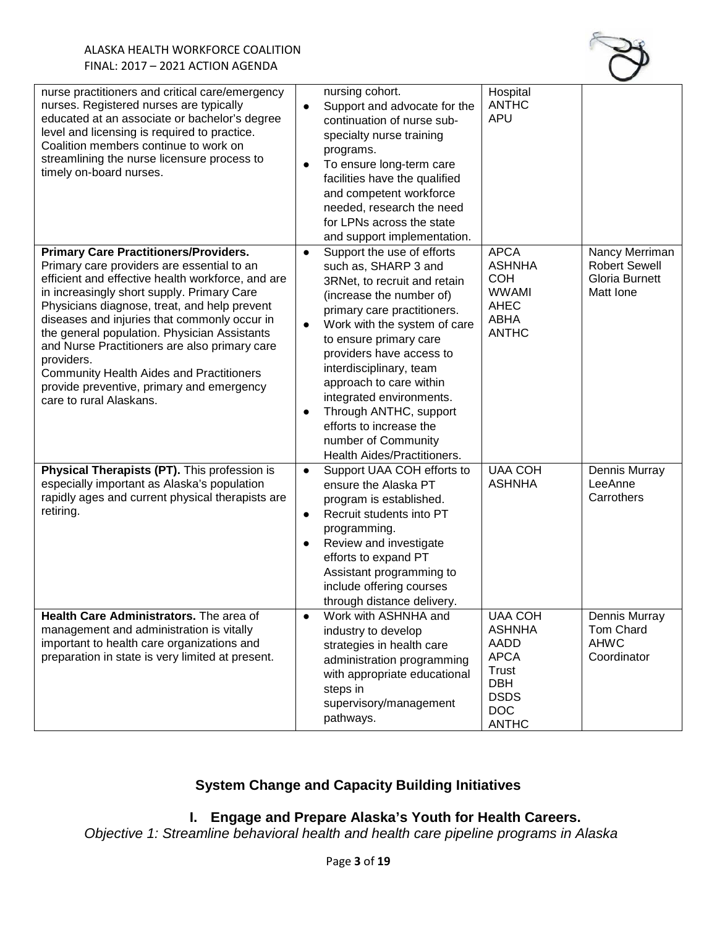

| nurse practitioners and critical care/emergency<br>nurses. Registered nurses are typically<br>educated at an associate or bachelor's degree<br>level and licensing is required to practice.<br>Coalition members continue to work on<br>streamlining the nurse licensure process to<br>timely on-board nurses.                                                                                                                                                                                                                          | nursing cohort.<br>Support and advocate for the<br>$\bullet$<br>continuation of nurse sub-<br>specialty nurse training<br>programs.<br>To ensure long-term care<br>facilities have the qualified<br>and competent workforce<br>needed, research the need<br>for LPNs across the state<br>and support implementation.               | Hospital<br><b>ANTHC</b><br><b>APU</b>                                                                                     |                                                                       |
|-----------------------------------------------------------------------------------------------------------------------------------------------------------------------------------------------------------------------------------------------------------------------------------------------------------------------------------------------------------------------------------------------------------------------------------------------------------------------------------------------------------------------------------------|------------------------------------------------------------------------------------------------------------------------------------------------------------------------------------------------------------------------------------------------------------------------------------------------------------------------------------|----------------------------------------------------------------------------------------------------------------------------|-----------------------------------------------------------------------|
| <b>Primary Care Practitioners/Providers.</b><br>Primary care providers are essential to an<br>efficient and effective health workforce, and are<br>in increasingly short supply. Primary Care<br>Physicians diagnose, treat, and help prevent<br>diseases and injuries that commonly occur in<br>the general population. Physician Assistants<br>and Nurse Practitioners are also primary care<br>providers.<br><b>Community Health Aides and Practitioners</b><br>provide preventive, primary and emergency<br>care to rural Alaskans. | Support the use of efforts<br>$\bullet$<br>such as, SHARP 3 and<br>3RNet, to recruit and retain<br>(increase the number of)<br>primary care practitioners.<br>Work with the system of care<br>to ensure primary care<br>providers have access to<br>interdisciplinary, team<br>approach to care within<br>integrated environments. | <b>APCA</b><br><b>ASHNHA</b><br><b>COH</b><br><b>WWAMI</b><br>AHEC<br>ABHA<br><b>ANTHC</b>                                 | Nancy Merriman<br><b>Robert Sewell</b><br>Gloria Burnett<br>Matt Ione |
|                                                                                                                                                                                                                                                                                                                                                                                                                                                                                                                                         | Through ANTHC, support<br>$\bullet$<br>efforts to increase the<br>number of Community<br>Health Aides/Practitioners.                                                                                                                                                                                                               |                                                                                                                            |                                                                       |
| Physical Therapists (PT). This profession is<br>especially important as Alaska's population<br>rapidly ages and current physical therapists are<br>retiring.                                                                                                                                                                                                                                                                                                                                                                            | Support UAA COH efforts to<br>$\bullet$<br>ensure the Alaska PT<br>program is established.<br>Recruit students into PT<br>$\bullet$<br>programming.<br>Review and investigate<br>$\bullet$<br>efforts to expand PT<br>Assistant programming to<br>include offering courses<br>through distance delivery.                           | <b>UAA COH</b><br><b>ASHNHA</b>                                                                                            | Dennis Murray<br>LeeAnne<br>Carrothers                                |
| Health Care Administrators. The area of<br>management and administration is vitally<br>important to health care organizations and<br>preparation in state is very limited at present.                                                                                                                                                                                                                                                                                                                                                   | Work with ASHNHA and<br>$\bullet$<br>industry to develop<br>strategies in health care<br>administration programming<br>with appropriate educational<br>steps in<br>supervisory/management<br>pathways.                                                                                                                             | <b>UAA COH</b><br><b>ASHNHA</b><br>AADD<br><b>APCA</b><br>Trust<br><b>DBH</b><br><b>DSDS</b><br><b>DOC</b><br><b>ANTHC</b> | Dennis Murray<br>Tom Chard<br><b>AHWC</b><br>Coordinator              |

# **System Change and Capacity Building Initiatives**

# **I. Engage and Prepare Alaska's Youth for Health Careers.**

*Objective 1: Streamline behavioral health and health care pipeline programs in Alaska*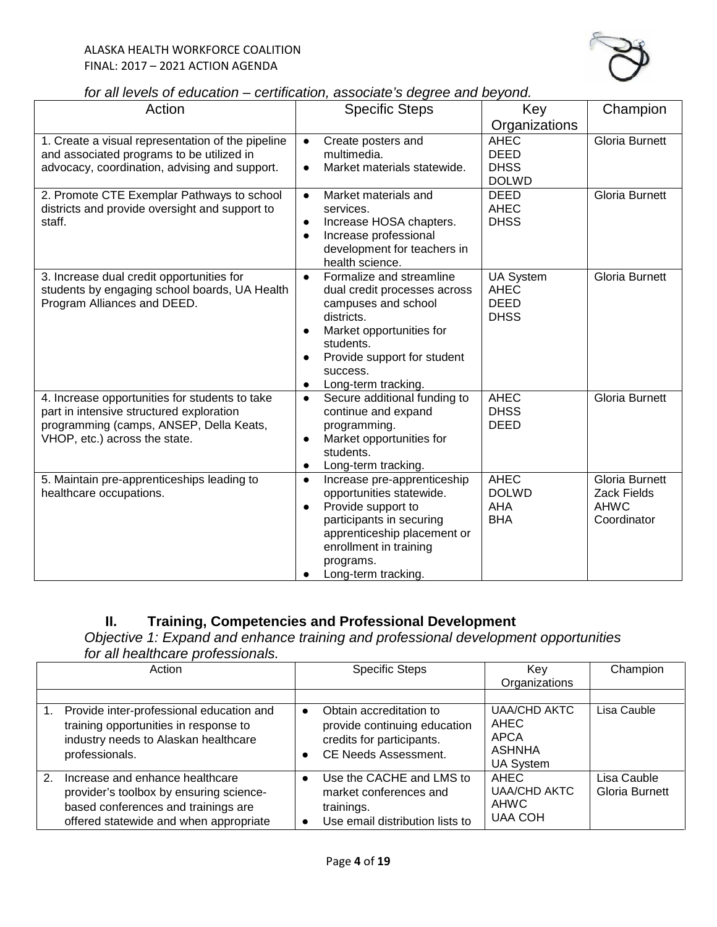

| for all levels of education - certification, associate's degree and beyond. |  |
|-----------------------------------------------------------------------------|--|
|-----------------------------------------------------------------------------|--|

| Action                                                                                                                                                                 | <b>Specific Steps</b>                                                                                                                                                                                                                                        | Key                                                           | Champion                                                                  |
|------------------------------------------------------------------------------------------------------------------------------------------------------------------------|--------------------------------------------------------------------------------------------------------------------------------------------------------------------------------------------------------------------------------------------------------------|---------------------------------------------------------------|---------------------------------------------------------------------------|
|                                                                                                                                                                        |                                                                                                                                                                                                                                                              | Organizations                                                 |                                                                           |
| 1. Create a visual representation of the pipeline<br>and associated programs to be utilized in<br>advocacy, coordination, advising and support.                        | Create posters and<br>$\bullet$<br>multimedia.<br>Market materials statewide.<br>$\bullet$                                                                                                                                                                   | <b>AHEC</b><br><b>DEED</b><br><b>DHSS</b><br><b>DOLWD</b>     | <b>Gloria Burnett</b>                                                     |
| 2. Promote CTE Exemplar Pathways to school<br>districts and provide oversight and support to<br>staff.                                                                 | Market materials and<br>$\bullet$<br>services.<br>Increase HOSA chapters.<br>$\bullet$<br>Increase professional<br>$\bullet$<br>development for teachers in<br>health science.                                                                               | <b>DEED</b><br><b>AHEC</b><br><b>DHSS</b>                     | <b>Gloria Burnett</b>                                                     |
| 3. Increase dual credit opportunities for<br>students by engaging school boards, UA Health<br>Program Alliances and DEED.                                              | Formalize and streamline<br>$\bullet$<br>dual credit processes across<br>campuses and school<br>districts.<br>Market opportunities for<br>$\bullet$<br>students.<br>Provide support for student<br>$\bullet$<br>success.<br>Long-term tracking.<br>$\bullet$ | <b>UA System</b><br><b>AHEC</b><br><b>DEED</b><br><b>DHSS</b> | Gloria Burnett                                                            |
| 4. Increase opportunities for students to take<br>part in intensive structured exploration<br>programming (camps, ANSEP, Della Keats,<br>VHOP, etc.) across the state. | Secure additional funding to<br>$\bullet$<br>continue and expand<br>programming.<br>Market opportunities for<br>$\bullet$<br>students.<br>Long-term tracking.<br>$\bullet$                                                                                   | <b>AHEC</b><br><b>DHSS</b><br><b>DEED</b>                     | Gloria Burnett                                                            |
| 5. Maintain pre-apprenticeships leading to<br>healthcare occupations.                                                                                                  | Increase pre-apprenticeship<br>$\bullet$<br>opportunities statewide.<br>Provide support to<br>$\bullet$<br>participants in securing<br>apprenticeship placement or<br>enrollment in training<br>programs.<br>Long-term tracking.                             | <b>AHEC</b><br><b>DOLWD</b><br><b>AHA</b><br><b>BHA</b>       | <b>Gloria Burnett</b><br><b>Zack Fields</b><br><b>AHWC</b><br>Coordinator |

# **II. Training, Competencies and Professional Development**

*Objective 1: Expand and enhance training and professional development opportunities for all healthcare professionals.* 

| Action                                                                                                                                                                       | <b>Specific Steps</b>                                                                                                            | Kev<br>Organizations                                                     | Champion                      |
|------------------------------------------------------------------------------------------------------------------------------------------------------------------------------|----------------------------------------------------------------------------------------------------------------------------------|--------------------------------------------------------------------------|-------------------------------|
|                                                                                                                                                                              |                                                                                                                                  |                                                                          |                               |
| Provide inter-professional education and<br>training opportunities in response to<br>industry needs to Alaskan healthcare<br>professionals.                                  | Obtain accreditation to<br>$\bullet$<br>provide continuing education<br>credits for participants.<br><b>CE Needs Assessment.</b> | <b>UAA/CHD AKTC</b><br>AHEC<br>APCA<br><b>ASHNHA</b><br><b>UA System</b> | Lisa Cauble                   |
| $\mathcal{P}$<br>Increase and enhance healthcare<br>provider's toolbox by ensuring science-<br>based conferences and trainings are<br>offered statewide and when appropriate | Use the CACHE and LMS to<br>market conferences and<br>trainings.<br>Use email distribution lists to                              | AHEC<br><b>UAA/CHD AKTC</b><br><b>AHWC</b><br><b>UAA COH</b>             | Lisa Cauble<br>Gloria Burnett |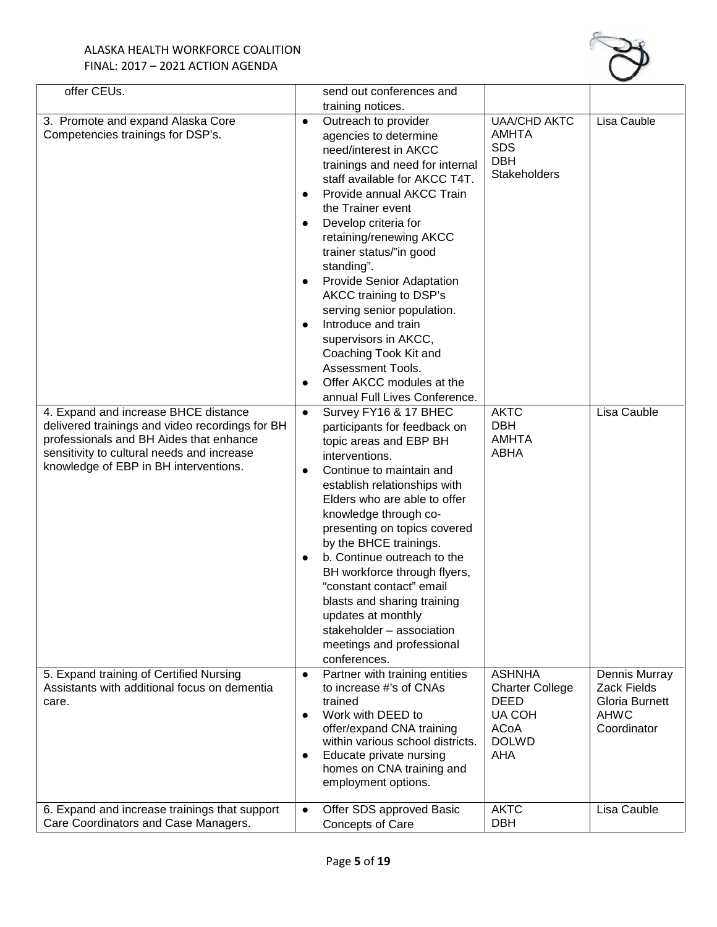

| offer CEUs.                                                                                                                                                                                                               |                        | send out conferences and                                                                                                                                                                                                                                                                                                                                                                                                                                                                                                                 |                                                                                                        |                                                                                     |
|---------------------------------------------------------------------------------------------------------------------------------------------------------------------------------------------------------------------------|------------------------|------------------------------------------------------------------------------------------------------------------------------------------------------------------------------------------------------------------------------------------------------------------------------------------------------------------------------------------------------------------------------------------------------------------------------------------------------------------------------------------------------------------------------------------|--------------------------------------------------------------------------------------------------------|-------------------------------------------------------------------------------------|
|                                                                                                                                                                                                                           |                        | training notices.                                                                                                                                                                                                                                                                                                                                                                                                                                                                                                                        |                                                                                                        |                                                                                     |
| 3. Promote and expand Alaska Core<br>Competencies trainings for DSP's.                                                                                                                                                    | $\bullet$<br>$\bullet$ | Outreach to provider<br>agencies to determine<br>need/interest in AKCC<br>trainings and need for internal<br>staff available for AKCC T4T.<br>Provide annual AKCC Train<br>the Trainer event<br>Develop criteria for<br>retaining/renewing AKCC<br>trainer status/"in good<br>standing".<br>Provide Senior Adaptation<br>AKCC training to DSP's<br>serving senior population.<br>Introduce and train<br>supervisors in AKCC,<br>Coaching Took Kit and<br>Assessment Tools.<br>Offer AKCC modules at the<br>annual Full Lives Conference. | <b>UAA/CHD AKTC</b><br>AMHTA<br><b>SDS</b><br><b>DBH</b><br><b>Stakeholders</b>                        | Lisa Cauble                                                                         |
| 4. Expand and increase BHCE distance<br>delivered trainings and video recordings for BH<br>professionals and BH Aides that enhance<br>sensitivity to cultural needs and increase<br>knowledge of EBP in BH interventions. | $\bullet$              | Survey FY16 & 17 BHEC<br>participants for feedback on<br>topic areas and EBP BH<br>interventions.<br>Continue to maintain and<br>establish relationships with<br>Elders who are able to offer<br>knowledge through co-<br>presenting on topics covered<br>by the BHCE trainings.<br>b. Continue outreach to the<br>BH workforce through flyers,<br>"constant contact" email<br>blasts and sharing training<br>updates at monthly<br>stakeholder - association<br>meetings and professional<br>conferences.                               | <b>AKTC</b><br><b>DBH</b><br><b>AMHTA</b><br><b>ABHA</b>                                               | Lisa Cauble                                                                         |
| 5. Expand training of Certified Nursing<br>Assistants with additional focus on dementia<br>care.                                                                                                                          | $\bullet$<br>$\bullet$ | Partner with training entities<br>to increase #'s of CNAs<br>trained<br>Work with DEED to<br>offer/expand CNA training<br>within various school districts.<br>Educate private nursing<br>homes on CNA training and<br>employment options.                                                                                                                                                                                                                                                                                                | <b>ASHNHA</b><br><b>Charter College</b><br>DEED<br><b>UA COH</b><br><b>ACoA</b><br><b>DOLWD</b><br>AHA | Dennis Murray<br><b>Zack Fields</b><br>Gloria Burnett<br><b>AHWC</b><br>Coordinator |
| 6. Expand and increase trainings that support<br>Care Coordinators and Case Managers.                                                                                                                                     | $\bullet$              | Offer SDS approved Basic<br>Concepts of Care                                                                                                                                                                                                                                                                                                                                                                                                                                                                                             | <b>AKTC</b><br><b>DBH</b>                                                                              | Lisa Cauble                                                                         |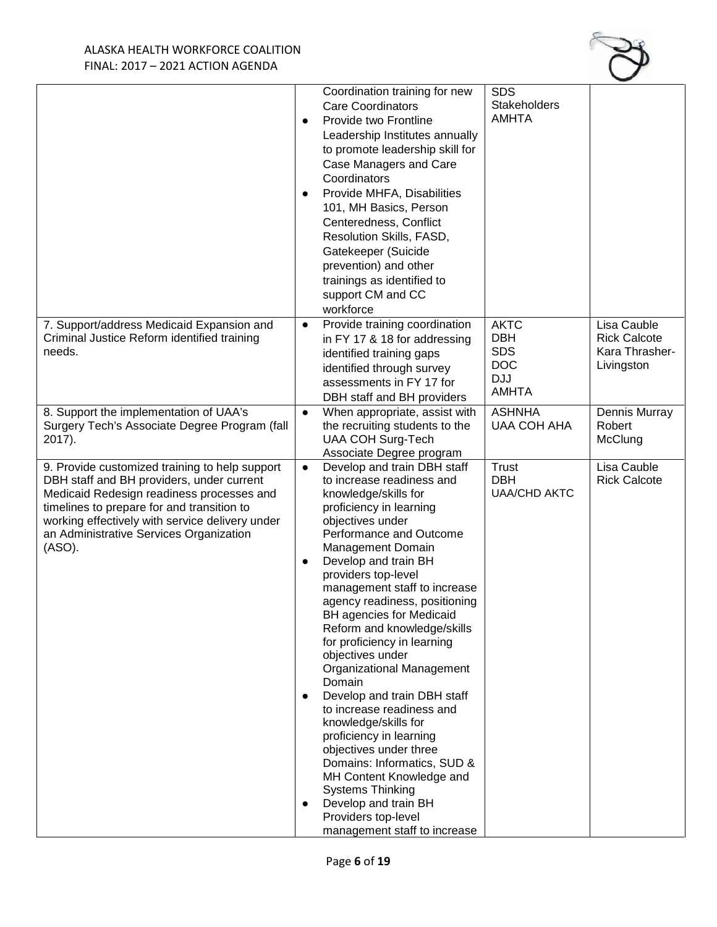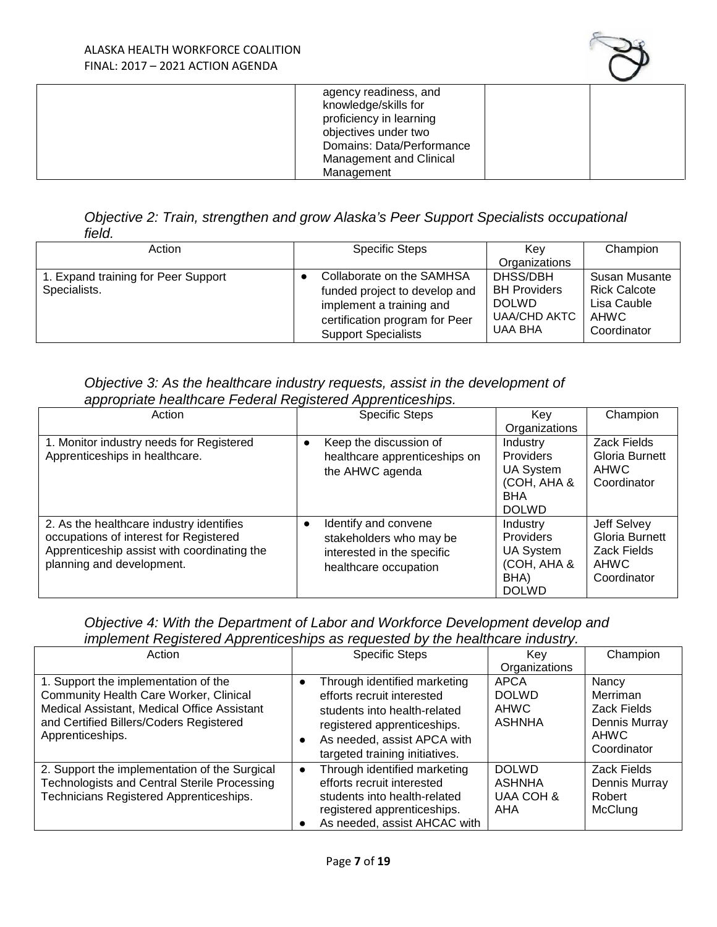

| agency readiness, and     |  |
|---------------------------|--|
| knowledge/skills for      |  |
| proficiency in learning   |  |
| objectives under two      |  |
| Domains: Data/Performance |  |
| Management and Clinical   |  |
| Management                |  |

# *Objective 2: Train, strengthen and grow Alaska's Peer Support Specialists occupational field.*

| Action                                              | <b>Specific Steps</b>                                                                                                                                  | Kev<br>Organizations                                                              | Champion                                                                          |
|-----------------------------------------------------|--------------------------------------------------------------------------------------------------------------------------------------------------------|-----------------------------------------------------------------------------------|-----------------------------------------------------------------------------------|
| 1. Expand training for Peer Support<br>Specialists. | Collaborate on the SAMHSA<br>funded project to develop and<br>implement a training and<br>certification program for Peer<br><b>Support Specialists</b> | DHSS/DBH<br><b>BH Providers</b><br><b>DOLWD</b><br><b>UAA/CHD AKTC</b><br>UAA BHA | Susan Musante<br><b>Rick Calcote</b><br>Lisa Cauble<br><b>AHWC</b><br>Coordinator |

# *Objective 3: As the healthcare industry requests, assist in the development of appropriate healthcare Federal Registered Apprenticeships.*

| Action                                                                                                                                                         | <b>Specific Steps</b>                                                                                               | Kev<br>Organizations                                                             | Champion                                                            |
|----------------------------------------------------------------------------------------------------------------------------------------------------------------|---------------------------------------------------------------------------------------------------------------------|----------------------------------------------------------------------------------|---------------------------------------------------------------------|
| 1. Monitor industry needs for Registered<br>Apprenticeships in healthcare.                                                                                     | Keep the discussion of<br>$\bullet$<br>healthcare apprenticeships on<br>the AHWC agenda                             | Industry<br>Providers<br>UA System<br>(COH, AHA &<br><b>BHA</b><br><b>DOLWD</b>  | Zack Fields<br>Gloria Burnett<br><b>AHWC</b><br>Coordinator         |
| 2. As the healthcare industry identifies<br>occupations of interest for Registered<br>Apprenticeship assist with coordinating the<br>planning and development. | Identify and convene<br>$\bullet$<br>stakeholders who may be<br>interested in the specific<br>healthcare occupation | Industry<br>Providers<br><b>UA System</b><br>(COH, AHA &<br>BHA)<br><b>DOLWD</b> | Jeff Selvey<br>Gloria Burnett<br>Zack Fields<br>AHWC<br>Coordinator |

# *Objective 4: With the Department of Labor and Workforce Development develop and implement Registered Apprenticeships as requested by the healthcare industry.*

| Action                                                                                                                                                                                              | <b>Specific Steps</b>                                                                                                                                                                      | Kev                                                                   | Champion                                                                        |
|-----------------------------------------------------------------------------------------------------------------------------------------------------------------------------------------------------|--------------------------------------------------------------------------------------------------------------------------------------------------------------------------------------------|-----------------------------------------------------------------------|---------------------------------------------------------------------------------|
| 1. Support the implementation of the<br><b>Community Health Care Worker, Clinical</b><br>Medical Assistant, Medical Office Assistant<br>and Certified Billers/Coders Registered<br>Apprenticeships. | Through identified marketing<br>efforts recruit interested<br>students into health-related<br>registered apprenticeships.<br>As needed, assist APCA with<br>targeted training initiatives. | Organizations<br>APCA<br><b>DOLWD</b><br><b>AHWC</b><br><b>ASHNHA</b> | Nancy<br>Merriman<br>Zack Fields<br>Dennis Murray<br><b>AHWC</b><br>Coordinator |
| 2. Support the implementation of the Surgical<br><b>Technologists and Central Sterile Processing</b><br>Technicians Registered Apprenticeships.                                                     | Through identified marketing<br>efforts recruit interested<br>students into health-related<br>registered apprenticeships.<br>As needed, assist AHCAC with                                  | <b>DOLWD</b><br><b>ASHNHA</b><br>UAA COH &<br>AHA                     | Zack Fields<br>Dennis Murray<br>Robert<br><b>McClung</b>                        |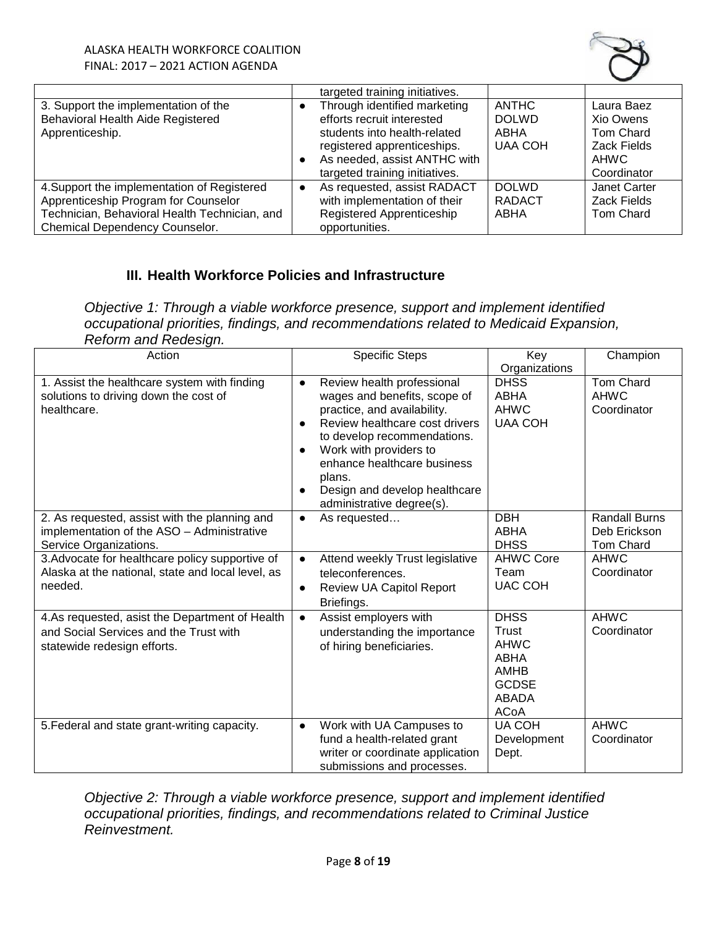

|                                               | targeted training initiatives. |                |                  |
|-----------------------------------------------|--------------------------------|----------------|------------------|
| 3. Support the implementation of the          | Through identified marketing   | <b>ANTHC</b>   | Laura Baez       |
| Behavioral Health Aide Registered             | efforts recruit interested     | <b>DOLWD</b>   | Xio Owens        |
| Apprenticeship.                               | students into health-related   | ABHA           | Tom Chard        |
|                                               | registered apprenticeships.    | <b>UAA COH</b> | Zack Fields      |
|                                               | As needed, assist ANTHC with   |                | AHWC             |
|                                               | targeted training initiatives. |                | Coordinator      |
| 4. Support the implementation of Registered   | As requested, assist RADACT    | <b>DOLWD</b>   | Janet Carter     |
| Apprenticeship Program for Counselor          | with implementation of their   | <b>RADACT</b>  | Zack Fields      |
| Technician, Behavioral Health Technician, and | Registered Apprenticeship      | ABHA           | <b>Tom Chard</b> |
| Chemical Dependency Counselor.                | opportunities.                 |                |                  |

# **III. Health Workforce Policies and Infrastructure**

*Objective 1: Through a viable workforce presence, support and implement identified occupational priorities, findings, and recommendations related to Medicaid Expansion, Reform and Redesign.*

| Action                                                                                                                  | <b>Specific Steps</b>                                                                                                                                                                                                                                                                                                 | Key<br>Organizations                                                                                             | Champion                                                 |
|-------------------------------------------------------------------------------------------------------------------------|-----------------------------------------------------------------------------------------------------------------------------------------------------------------------------------------------------------------------------------------------------------------------------------------------------------------------|------------------------------------------------------------------------------------------------------------------|----------------------------------------------------------|
| 1. Assist the healthcare system with finding<br>solutions to driving down the cost of<br>healthcare.                    | Review health professional<br>$\bullet$<br>wages and benefits, scope of<br>practice, and availability.<br>Review healthcare cost drivers<br>$\bullet$<br>to develop recommendations.<br>Work with providers to<br>enhance healthcare business<br>plans.<br>Design and develop healthcare<br>administrative degree(s). | <b>DHSS</b><br><b>ABHA</b><br><b>AHWC</b><br><b>UAA COH</b>                                                      | <b>Tom Chard</b><br><b>AHWC</b><br>Coordinator           |
| 2. As requested, assist with the planning and<br>implementation of the ASO - Administrative<br>Service Organizations.   | As requested<br>$\bullet$                                                                                                                                                                                                                                                                                             | <b>DBH</b><br><b>ABHA</b><br><b>DHSS</b>                                                                         | <b>Randall Burns</b><br>Deb Erickson<br><b>Tom Chard</b> |
| 3. Advocate for healthcare policy supportive of<br>Alaska at the national, state and local level, as<br>needed.         | Attend weekly Trust legislative<br>$\bullet$<br>teleconferences.<br>Review UA Capitol Report<br>$\bullet$<br>Briefings.                                                                                                                                                                                               | <b>AHWC Core</b><br>Team<br><b>UAC COH</b>                                                                       | <b>AHWC</b><br>Coordinator                               |
| 4.As requested, asist the Department of Health<br>and Social Services and the Trust with<br>statewide redesign efforts. | Assist employers with<br>understanding the importance<br>of hiring beneficiaries.                                                                                                                                                                                                                                     | <b>DHSS</b><br>Trust<br><b>AHWC</b><br><b>ABHA</b><br><b>AMHB</b><br><b>GCDSE</b><br><b>ABADA</b><br><b>ACoA</b> | <b>AHWC</b><br>Coordinator                               |
| 5. Federal and state grant-writing capacity.                                                                            | Work with UA Campuses to<br>$\bullet$<br>fund a health-related grant<br>writer or coordinate application<br>submissions and processes.                                                                                                                                                                                | <b>UA COH</b><br>Development<br>Dept.                                                                            | <b>AHWC</b><br>Coordinator                               |

*Objective 2: Through a viable workforce presence, support and implement identified occupational priorities, findings, and recommendations related to Criminal Justice Reinvestment.*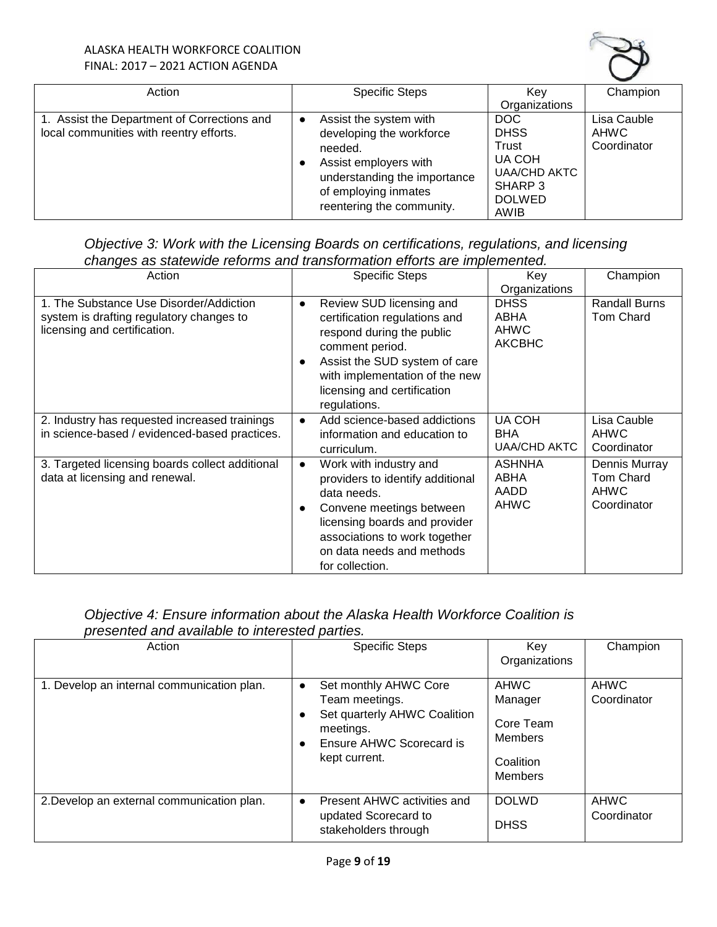

| Action                                                                                 |           | <b>Specific Steps</b>                                                                                                                                                       | Kev                                                                                              | Champion                                  |
|----------------------------------------------------------------------------------------|-----------|-----------------------------------------------------------------------------------------------------------------------------------------------------------------------------|--------------------------------------------------------------------------------------------------|-------------------------------------------|
|                                                                                        |           |                                                                                                                                                                             | Organizations                                                                                    |                                           |
| 1. Assist the Department of Corrections and<br>local communities with reentry efforts. | $\bullet$ | Assist the system with<br>developing the workforce<br>needed.<br>Assist employers with<br>understanding the importance<br>of employing inmates<br>reentering the community. | DOC<br><b>DHSS</b><br>Trust<br>UA COH<br><b>UAA/CHD AKTC</b><br>SHARP 3<br><b>DOLWED</b><br>AWIB | Lisa Cauble<br><b>AHWC</b><br>Coordinator |

# *Objective 3: Work with the Licensing Boards on certifications, regulations, and licensing changes as statewide reforms and transformation efforts are implemented.*

| Action                                                                                                              |           | <u>didiomae roromne and transformation onerte are impremented:</u><br><b>Specific Steps</b>                                                                                                                                 | Key<br>Organizations                                | Champion                                                 |
|---------------------------------------------------------------------------------------------------------------------|-----------|-----------------------------------------------------------------------------------------------------------------------------------------------------------------------------------------------------------------------------|-----------------------------------------------------|----------------------------------------------------------|
| 1. The Substance Use Disorder/Addiction<br>system is drafting regulatory changes to<br>licensing and certification. | $\bullet$ | Review SUD licensing and<br>certification regulations and<br>respond during the public<br>comment period.<br>Assist the SUD system of care<br>with implementation of the new<br>licensing and certification<br>regulations. | <b>DHSS</b><br>ABHA<br><b>AHWC</b><br><b>AKCBHC</b> | Randall Burns<br><b>Tom Chard</b>                        |
| 2. Industry has requested increased trainings<br>in science-based / evidenced-based practices.                      | $\bullet$ | Add science-based addictions<br>information and education to<br>curriculum.                                                                                                                                                 | <b>UA COH</b><br><b>BHA</b><br><b>UAA/CHD AKTC</b>  | Lisa Cauble<br><b>AHWC</b><br>Coordinator                |
| 3. Targeted licensing boards collect additional<br>data at licensing and renewal.                                   |           | Work with industry and<br>providers to identify additional<br>data needs.<br>Convene meetings between<br>licensing boards and provider<br>associations to work together<br>on data needs and methods<br>for collection.     | <b>ASHNHA</b><br>ABHA<br>AADD<br><b>AHWC</b>        | Dennis Murray<br>Tom Chard<br><b>AHWC</b><br>Coordinator |

# *Objective 4: Ensure information about the Alaska Health Workforce Coalition is presented and available to interested parties.*

| Action                                     |           | <b>Specific Steps</b>                                                                                                             | Key<br>Organizations                                                                 | Champion                   |
|--------------------------------------------|-----------|-----------------------------------------------------------------------------------------------------------------------------------|--------------------------------------------------------------------------------------|----------------------------|
| 1. Develop an internal communication plan. | $\bullet$ | Set monthly AHWC Core<br>Team meetings.<br>Set quarterly AHWC Coalition<br>meetings.<br>Ensure AHWC Scorecard is<br>kept current. | <b>AHWC</b><br>Manager<br>Core Team<br><b>Members</b><br>Coalition<br><b>Members</b> | <b>AHWC</b><br>Coordinator |
| 2. Develop an external communication plan. |           | Present AHWC activities and<br>updated Scorecard to<br>stakeholders through                                                       | <b>DOLWD</b><br><b>DHSS</b>                                                          | <b>AHWC</b><br>Coordinator |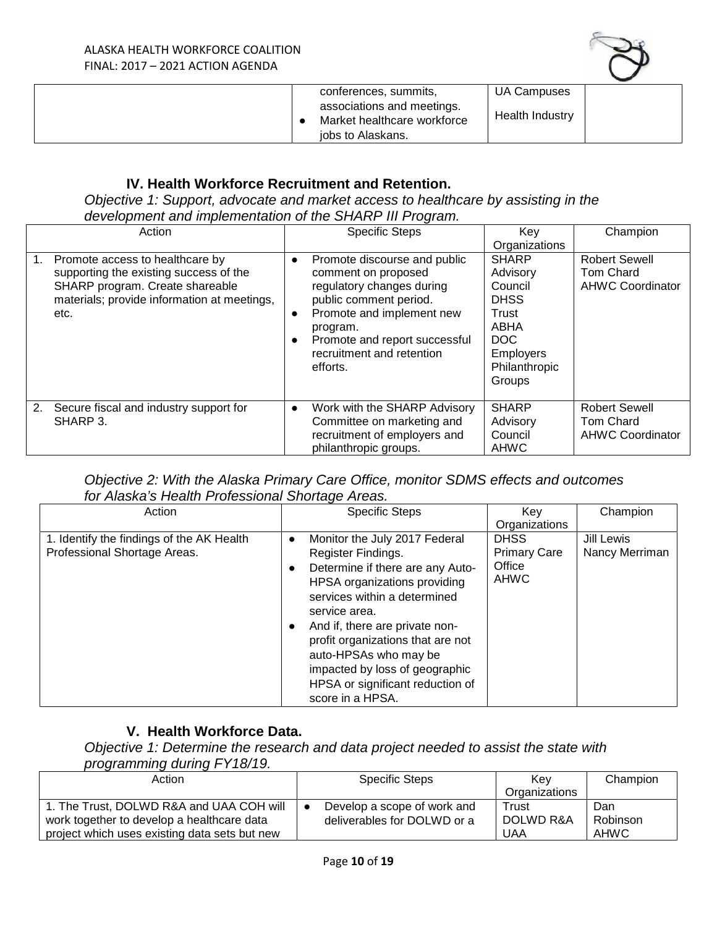

|  | conferences, summits,                                                          | UA Campuses     |
|--|--------------------------------------------------------------------------------|-----------------|
|  | associations and meetings.<br>Market healthcare workforce<br>jobs to Alaskans. | Health Industry |

### **IV. Health Workforce Recruitment and Retention.**

*Objective 1: Support, advocate and market access to healthcare by assisting in the development and implementation of the SHARP III Program.*

|    | Action                                                                                                                                                              |                        | <b>Specific Steps</b>                                                                                                                                                                                                         | Key<br>Organizations                                                                                                      | Champion                                                     |
|----|---------------------------------------------------------------------------------------------------------------------------------------------------------------------|------------------------|-------------------------------------------------------------------------------------------------------------------------------------------------------------------------------------------------------------------------------|---------------------------------------------------------------------------------------------------------------------------|--------------------------------------------------------------|
| 1. | Promote access to healthcare by<br>supporting the existing success of the<br>SHARP program. Create shareable<br>materials; provide information at meetings,<br>etc. | $\bullet$<br>$\bullet$ | Promote discourse and public<br>comment on proposed<br>regulatory changes during<br>public comment period.<br>Promote and implement new<br>program.<br>Promote and report successful<br>recruitment and retention<br>efforts. | <b>SHARP</b><br>Advisory<br>Council<br><b>DHSS</b><br>Trust<br>ABHA<br>DOC<br><b>Employers</b><br>Philanthropic<br>Groups | <b>Robert Sewell</b><br>Tom Chard<br><b>AHWC Coordinator</b> |
| 2. | Secure fiscal and industry support for<br>SHARP 3.                                                                                                                  | $\bullet$              | Work with the SHARP Advisory<br>Committee on marketing and<br>recruitment of employers and<br>philanthropic groups.                                                                                                           | <b>SHARP</b><br>Advisory<br>Council<br><b>AHWC</b>                                                                        | <b>Robert Sewell</b><br>Tom Chard<br><b>AHWC Coordinator</b> |

## *Objective 2: With the Alaska Primary Care Office, monitor SDMS effects and outcomes for Alaska's Health Professional Shortage Areas.*

| Action                                                                    | <b>Specific Steps</b>                                                                                                                                                                                                                                                                                                                                                           | Kev                                                         | Champion                     |
|---------------------------------------------------------------------------|---------------------------------------------------------------------------------------------------------------------------------------------------------------------------------------------------------------------------------------------------------------------------------------------------------------------------------------------------------------------------------|-------------------------------------------------------------|------------------------------|
|                                                                           |                                                                                                                                                                                                                                                                                                                                                                                 | Organizations                                               |                              |
| 1. Identify the findings of the AK Health<br>Professional Shortage Areas. | Monitor the July 2017 Federal<br>$\bullet$<br>Register Findings.<br>Determine if there are any Auto-<br>HPSA organizations providing<br>services within a determined<br>service area.<br>And if, there are private non-<br>profit organizations that are not<br>auto-HPSAs who may be<br>impacted by loss of geographic<br>HPSA or significant reduction of<br>score in a HPSA. | <b>DHSS</b><br><b>Primary Care</b><br>Office<br><b>AHWC</b> | Jill Lewis<br>Nancy Merriman |

## **V. Health Workforce Data.**

*Objective 1: Determine the research and data project needed to assist the state with programming during FY18/19.* 

| Action                                                                                                                                  | <b>Specific Steps</b>                                      | Kev                       | Champion                |
|-----------------------------------------------------------------------------------------------------------------------------------------|------------------------------------------------------------|---------------------------|-------------------------|
|                                                                                                                                         |                                                            | Organizations             |                         |
| 1. The Trust, DOLWD R&A and UAA COH will<br>work together to develop a healthcare data<br>project which uses existing data sets but new | Develop a scope of work and<br>deliverables for DOLWD or a | Trust<br>DOLWD R&A<br>UAA | Dan<br>Robinson<br>AHWC |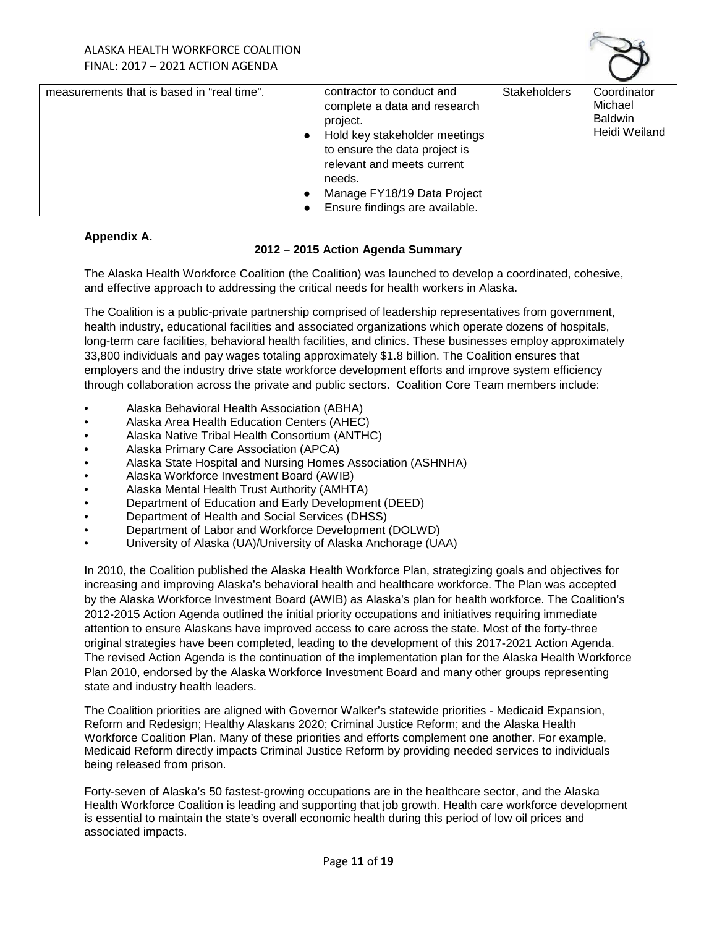

| measurements that is based in "real time". | contractor to conduct and      | <b>Stakeholders</b> | Coordinator    |
|--------------------------------------------|--------------------------------|---------------------|----------------|
|                                            | complete a data and research   |                     | Michael        |
|                                            | project.                       |                     | <b>Baldwin</b> |
|                                            | Hold key stakeholder meetings  |                     | Heidi Weiland  |
|                                            | to ensure the data project is  |                     |                |
|                                            | relevant and meets current     |                     |                |
|                                            |                                |                     |                |
|                                            | needs.                         |                     |                |
|                                            | Manage FY18/19 Data Project    |                     |                |
|                                            | Ensure findings are available. |                     |                |

#### **Appendix A.**

#### **2012 – 2015 Action Agenda Summary**

The Alaska Health Workforce Coalition (the Coalition) was launched to develop a coordinated, cohesive, and effective approach to addressing the critical needs for health workers in Alaska.

The Coalition is a public-private partnership comprised of leadership representatives from government, health industry, educational facilities and associated organizations which operate dozens of hospitals, long-term care facilities, behavioral health facilities, and clinics. These businesses employ approximately 33,800 individuals and pay wages totaling approximately \$1.8 billion. The Coalition ensures that employers and the industry drive state workforce development efforts and improve system efficiency through collaboration across the private and public sectors. Coalition Core Team members include:

- Alaska Behavioral Health Association (ABHA)
- Alaska Area Health Education Centers (AHEC)
- Alaska Native Tribal Health Consortium (ANTHC)
- Alaska Primary Care Association (APCA)
- Alaska State Hospital and Nursing Homes Association (ASHNHA)
- Alaska Workforce Investment Board (AWIB)
- Alaska Mental Health Trust Authority (AMHTA)
- Department of Education and Early Development (DEED)
- Department of Health and Social Services (DHSS)
- Department of Labor and Workforce Development (DOLWD)
- University of Alaska (UA)/University of Alaska Anchorage (UAA)

In 2010, the Coalition published the Alaska Health Workforce Plan, strategizing goals and objectives for increasing and improving Alaska's behavioral health and healthcare workforce. The Plan was accepted by the Alaska Workforce Investment Board (AWIB) as Alaska's plan for health workforce. The Coalition's 2012‐2015 Action Agenda outlined the initial priority occupations and initiatives requiring immediate attention to ensure Alaskans have improved access to care across the state. Most of the forty-three original strategies have been completed, leading to the development of this 2017-2021 Action Agenda. The revised Action Agenda is the continuation of the implementation plan for the Alaska Health Workforce Plan 2010, endorsed by the Alaska Workforce Investment Board and many other groups representing state and industry health leaders.

The Coalition priorities are aligned with Governor Walker's statewide priorities - Medicaid Expansion, Reform and Redesign; Healthy Alaskans 2020; Criminal Justice Reform; and the Alaska Health Workforce Coalition Plan. Many of these priorities and efforts complement one another. For example, Medicaid Reform directly impacts Criminal Justice Reform by providing needed services to individuals being released from prison.

Forty-seven of Alaska's 50 fastest-growing occupations are in the healthcare sector, and the Alaska Health Workforce Coalition is leading and supporting that job growth. Health care workforce development is essential to maintain the state's overall economic health during this period of low oil prices and associated impacts.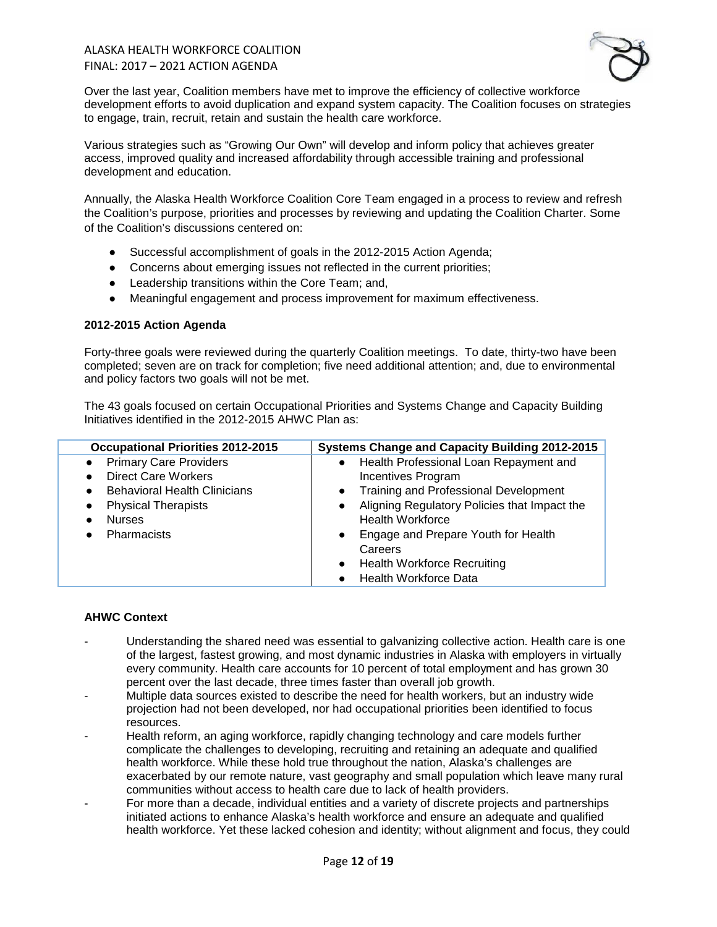### ALASKA HEALTH WORKFORCE COALITION FINAL: 2017 – 2021 ACTION AGENDA



Over the last year, Coalition members have met to improve the efficiency of collective workforce development efforts to avoid duplication and expand system capacity. The Coalition focuses on strategies to engage, train, recruit, retain and sustain the health care workforce.

Various strategies such as "Growing Our Own" will develop and inform policy that achieves greater access, improved quality and increased affordability through accessible training and professional development and education.

Annually, the Alaska Health Workforce Coalition Core Team engaged in a process to review and refresh the Coalition's purpose, priorities and processes by reviewing and updating the Coalition Charter. Some of the Coalition's discussions centered on:

- Successful accomplishment of goals in the 2012-2015 Action Agenda;
- Concerns about emerging issues not reflected in the current priorities;
- Leadership transitions within the Core Team; and,
- Meaningful engagement and process improvement for maximum effectiveness.

#### **2012-2015 Action Agenda**

Forty-three goals were reviewed during the quarterly Coalition meetings. To date, thirty-two have been completed; seven are on track for completion; five need additional attention; and, due to environmental and policy factors two goals will not be met.

The 43 goals focused on certain Occupational Priorities and Systems Change and Capacity Building Initiatives identified in the 2012-2015 AHWC Plan as:

| <b>Occupational Priorities 2012-2015</b>         | <b>Systems Change and Capacity Building 2012-2015</b>     |
|--------------------------------------------------|-----------------------------------------------------------|
| <b>Primary Care Providers</b>                    | Health Professional Loan Repayment and<br>$\bullet$       |
| <b>Direct Care Workers</b>                       | <b>Incentives Program</b>                                 |
| <b>Behavioral Health Clinicians</b><br>$\bullet$ | <b>Training and Professional Development</b><br>$\bullet$ |
| <b>Physical Therapists</b>                       | Aligning Regulatory Policies that Impact the<br>$\bullet$ |
| <b>Nurses</b>                                    | <b>Health Workforce</b>                                   |
| Pharmacists                                      | Engage and Prepare Youth for Health<br>$\bullet$          |
|                                                  | Careers                                                   |
|                                                  | <b>Health Workforce Recruiting</b><br>$\bullet$           |
|                                                  | <b>Health Workforce Data</b>                              |

#### **AHWC Context**

- Understanding the shared need was essential to galvanizing collective action. Health care is one of the largest, fastest growing, and most dynamic industries in Alaska with employers in virtually every community. Health care accounts for 10 percent of total employment and has grown 30 percent over the last decade, three times faster than overall job growth.
- Multiple data sources existed to describe the need for health workers, but an industry wide projection had not been developed, nor had occupational priorities been identified to focus resources.
- Health reform, an aging workforce, rapidly changing technology and care models further complicate the challenges to developing, recruiting and retaining an adequate and qualified health workforce. While these hold true throughout the nation, Alaska's challenges are exacerbated by our remote nature, vast geography and small population which leave many rural communities without access to health care due to lack of health providers.
- For more than a decade, individual entities and a variety of discrete projects and partnerships initiated actions to enhance Alaska's health workforce and ensure an adequate and qualified health workforce. Yet these lacked cohesion and identity; without alignment and focus, they could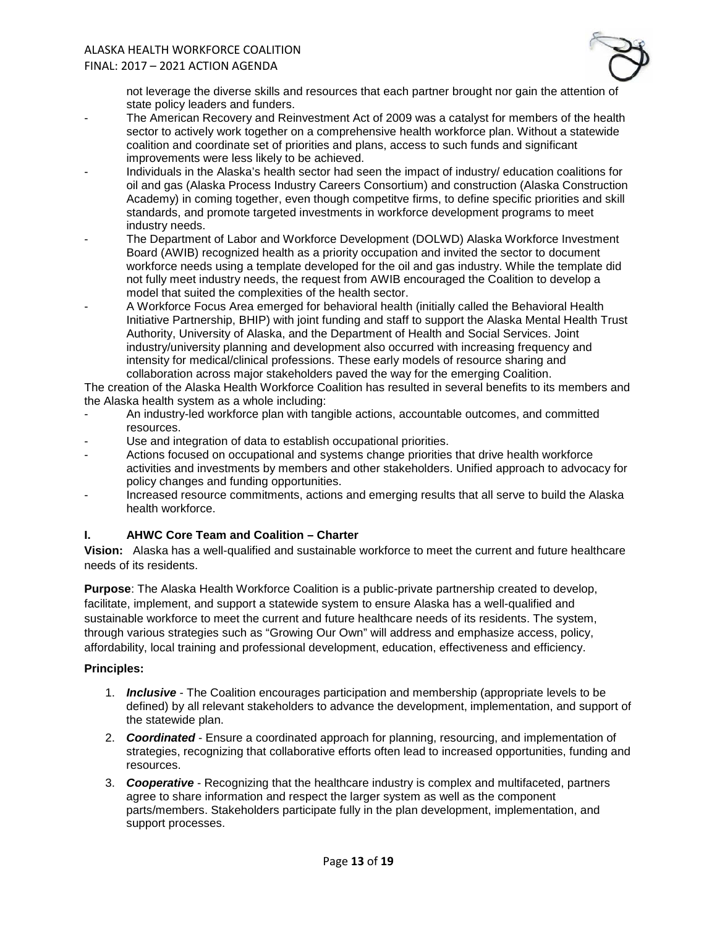# ALASKA HEALTH WORKFORCE COALITION

#### FINAL: 2017 – 2021 ACTION AGENDA



not leverage the diverse skills and resources that each partner brought nor gain the attention of state policy leaders and funders.

- The American Recovery and Reinvestment Act of 2009 was a catalyst for members of the health sector to actively work together on a comprehensive health workforce plan. Without a statewide coalition and coordinate set of priorities and plans, access to such funds and significant improvements were less likely to be achieved.
- Individuals in the Alaska's health sector had seen the impact of industry/ education coalitions for oil and gas (Alaska Process Industry Careers Consortium) and construction (Alaska Construction Academy) in coming together, even though competitve firms, to define specific priorities and skill standards, and promote targeted investments in workforce development programs to meet industry needs.
- The Department of Labor and Workforce Development (DOLWD) Alaska Workforce Investment Board (AWIB) recognized health as a priority occupation and invited the sector to document workforce needs using a template developed for the oil and gas industry. While the template did not fully meet industry needs, the request from AWIB encouraged the Coalition to develop a model that suited the complexities of the health sector.
- A Workforce Focus Area emerged for behavioral health (initially called the Behavioral Health Initiative Partnership, BHIP) with joint funding and staff to support the Alaska Mental Health Trust Authority, University of Alaska, and the Department of Health and Social Services. Joint industry/university planning and development also occurred with increasing frequency and intensity for medical/clinical professions. These early models of resource sharing and collaboration across major stakeholders paved the way for the emerging Coalition.

The creation of the Alaska Health Workforce Coalition has resulted in several benefits to its members and the Alaska health system as a whole including:

- An industry-led workforce plan with tangible actions, accountable outcomes, and committed resources.
- Use and integration of data to establish occupational priorities.
- Actions focused on occupational and systems change priorities that drive health workforce activities and investments by members and other stakeholders. Unified approach to advocacy for policy changes and funding opportunities.
- Increased resource commitments, actions and emerging results that all serve to build the Alaska health workforce.

### **I. AHWC Core Team and Coalition – Charter**

**Vision:** Alaska has a well-qualified and sustainable workforce to meet the current and future healthcare needs of its residents.

**Purpose**: The Alaska Health Workforce Coalition is a public-private partnership created to develop, facilitate, implement, and support a statewide system to ensure Alaska has a well-qualified and sustainable workforce to meet the current and future healthcare needs of its residents. The system, through various strategies such as "Growing Our Own" will address and emphasize access, policy, affordability, local training and professional development, education, effectiveness and efficiency.

#### **Principles:**

- 1. *Inclusive* The Coalition encourages participation and membership (appropriate levels to be defined) by all relevant stakeholders to advance the development, implementation, and support of the statewide plan.
- 2. *Coordinated* Ensure a coordinated approach for planning, resourcing, and implementation of strategies, recognizing that collaborative efforts often lead to increased opportunities, funding and resources.
- 3. *Cooperative* Recognizing that the healthcare industry is complex and multifaceted, partners agree to share information and respect the larger system as well as the component parts/members. Stakeholders participate fully in the plan development, implementation, and support processes.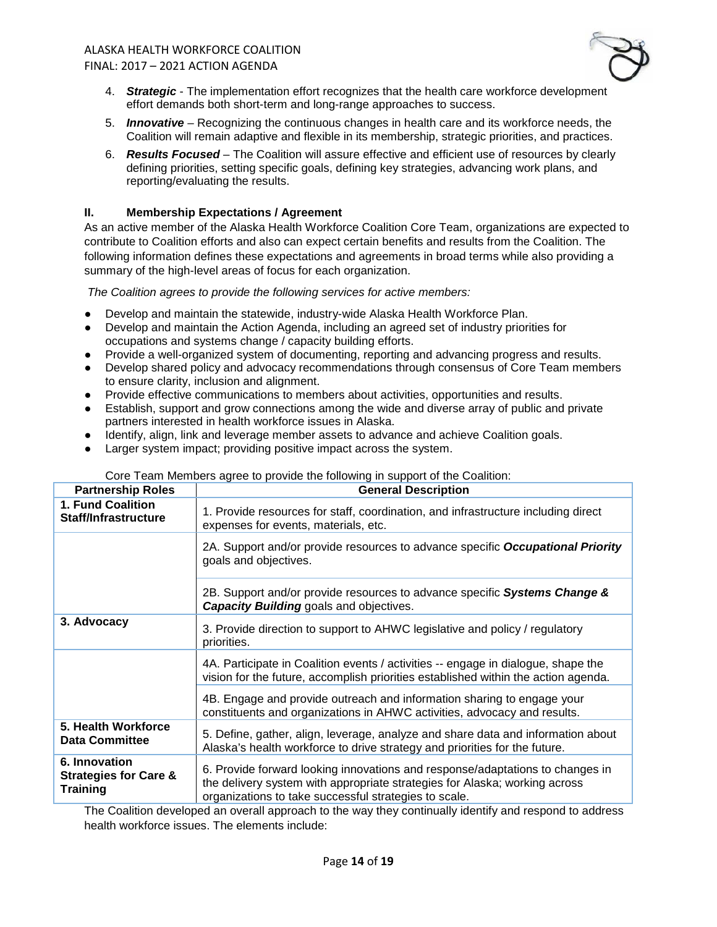

- 4. *Strategic* The implementation effort recognizes that the health care workforce development effort demands both short-term and long-range approaches to success.
- 5. *Innovative* Recognizing the continuous changes in health care and its workforce needs, the Coalition will remain adaptive and flexible in its membership, strategic priorities, and practices.
- 6. *Results Focused*  The Coalition will assure effective and efficient use of resources by clearly defining priorities, setting specific goals, defining key strategies, advancing work plans, and reporting/evaluating the results.

### **II. Membership Expectations / Agreement**

As an active member of the Alaska Health Workforce Coalition Core Team, organizations are expected to contribute to Coalition efforts and also can expect certain benefits and results from the Coalition. The following information defines these expectations and agreements in broad terms while also providing a summary of the high-level areas of focus for each organization.

*The Coalition agrees to provide the following services for active members:*

- Develop and maintain the statewide, industry-wide Alaska Health Workforce Plan.
- Develop and maintain the Action Agenda, including an agreed set of industry priorities for occupations and systems change / capacity building efforts.
- Provide a well-organized system of documenting, reporting and advancing progress and results.
- Develop shared policy and advocacy recommendations through consensus of Core Team members to ensure clarity, inclusion and alignment.
- Provide effective communications to members about activities, opportunities and results.
- Establish, support and grow connections among the wide and diverse array of public and private partners interested in health workforce issues in Alaska.
- Identify, align, link and leverage member assets to advance and achieve Coalition goals.
- Larger system impact; providing positive impact across the system.

| <b>Partnership Roles</b>                                             | <b>General Description</b>                                                                                                                                                                                           |
|----------------------------------------------------------------------|----------------------------------------------------------------------------------------------------------------------------------------------------------------------------------------------------------------------|
| 1. Fund Coalition<br><b>Staff/Infrastructure</b>                     | 1. Provide resources for staff, coordination, and infrastructure including direct<br>expenses for events, materials, etc.                                                                                            |
|                                                                      | 2A. Support and/or provide resources to advance specific <b>Occupational Priority</b><br>goals and objectives.                                                                                                       |
|                                                                      | 2B. Support and/or provide resources to advance specific Systems Change &<br><b>Capacity Building goals and objectives.</b>                                                                                          |
| 3. Advocacy                                                          | 3. Provide direction to support to AHWC legislative and policy / regulatory<br>priorities.                                                                                                                           |
|                                                                      | 4A. Participate in Coalition events / activities -- engage in dialogue, shape the<br>vision for the future, accomplish priorities established within the action agenda.                                              |
|                                                                      | 4B. Engage and provide outreach and information sharing to engage your<br>constituents and organizations in AHWC activities, advocacy and results.                                                                   |
| 5. Health Workforce<br><b>Data Committee</b>                         | 5. Define, gather, align, leverage, analyze and share data and information about<br>Alaska's health workforce to drive strategy and priorities for the future.                                                       |
| 6. Innovation<br><b>Strategies for Care &amp;</b><br><b>Training</b> | 6. Provide forward looking innovations and response/adaptations to changes in<br>the delivery system with appropriate strategies for Alaska; working across<br>organizations to take successful strategies to scale. |

#### Core Team Members agree to provide the following in support of the Coalition:

The Coalition developed an overall approach to the way they continually identify and respond to address health workforce issues. The elements include: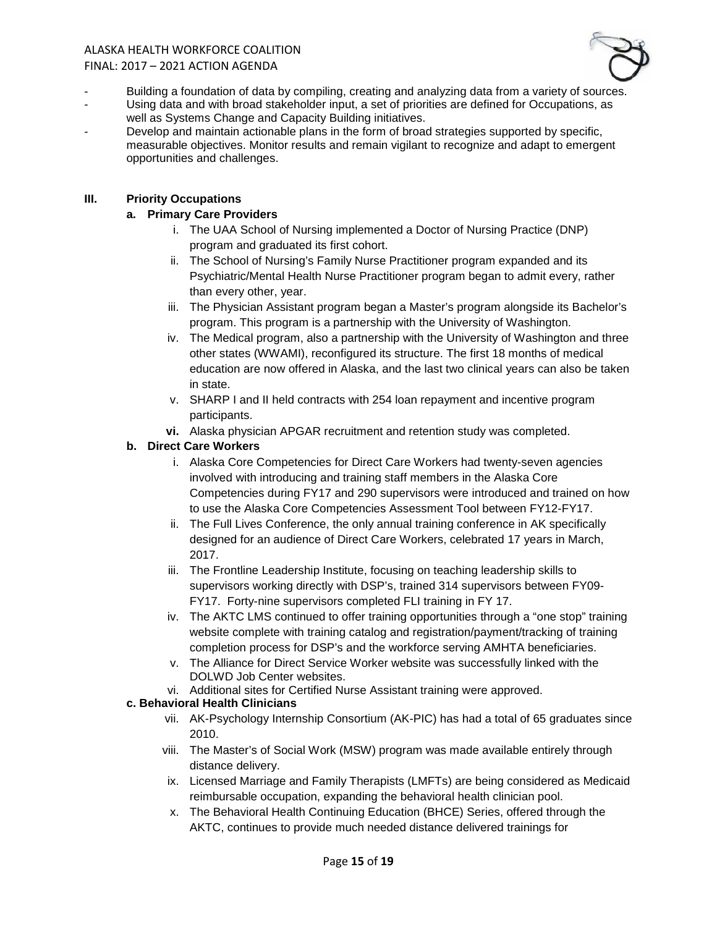#### ALASKA HEALTH WORKFORCE COALITION FINAL: 2017 – 2021 ACTION AGENDA



- Building a foundation of data by compiling, creating and analyzing data from a variety of sources.
- Using data and with broad stakeholder input, a set of priorities are defined for Occupations, as well as Systems Change and Capacity Building initiatives.
- Develop and maintain actionable plans in the form of broad strategies supported by specific, measurable objectives. Monitor results and remain vigilant to recognize and adapt to emergent opportunities and challenges.

### **III. Priority Occupations**

### **a. Primary Care Providers**

- i. The UAA School of Nursing implemented a Doctor of Nursing Practice (DNP) program and graduated its first cohort.
- ii. The School of Nursing's Family Nurse Practitioner program expanded and its Psychiatric/Mental Health Nurse Practitioner program began to admit every, rather than every other, year.
- iii. The Physician Assistant program began a Master's program alongside its Bachelor's program. This program is a partnership with the University of Washington.
- iv. The Medical program, also a partnership with the University of Washington and three other states (WWAMI), reconfigured its structure. The first 18 months of medical education are now offered in Alaska, and the last two clinical years can also be taken in state.
- v. SHARP I and II held contracts with 254 loan repayment and incentive program participants.
- **vi.** Alaska physician APGAR recruitment and retention study was completed.

### **b. Direct Care Workers**

- i. Alaska Core Competencies for Direct Care Workers had twenty-seven agencies involved with introducing and training staff members in the Alaska Core Competencies during FY17 and 290 supervisors were introduced and trained on how to use the Alaska Core Competencies Assessment Tool between FY12-FY17.
- ii. The Full Lives Conference, the only annual training conference in AK specifically designed for an audience of Direct Care Workers, celebrated 17 years in March, 2017.
- iii. The Frontline Leadership Institute, focusing on teaching leadership skills to supervisors working directly with DSP's, trained 314 supervisors between FY09- FY17. Forty-nine supervisors completed FLI training in FY 17.
- iv. The AKTC LMS continued to offer training opportunities through a "one stop" training website complete with training catalog and registration/payment/tracking of training completion process for DSP's and the workforce serving AMHTA beneficiaries.
- v. The Alliance for Direct Service Worker website was successfully linked with the DOLWD Job Center websites.
- vi. Additional sites for Certified Nurse Assistant training were approved.

#### **c. Behavioral Health Clinicians**

- vii. AK-Psychology Internship Consortium (AK-PIC) has had a total of 65 graduates since 2010.
- viii. The Master's of Social Work (MSW) program was made available entirely through distance delivery.
- ix. Licensed Marriage and Family Therapists (LMFTs) are being considered as Medicaid reimbursable occupation, expanding the behavioral health clinician pool.
- x. The Behavioral Health Continuing Education (BHCE) Series, offered through the AKTC, continues to provide much needed distance delivered trainings for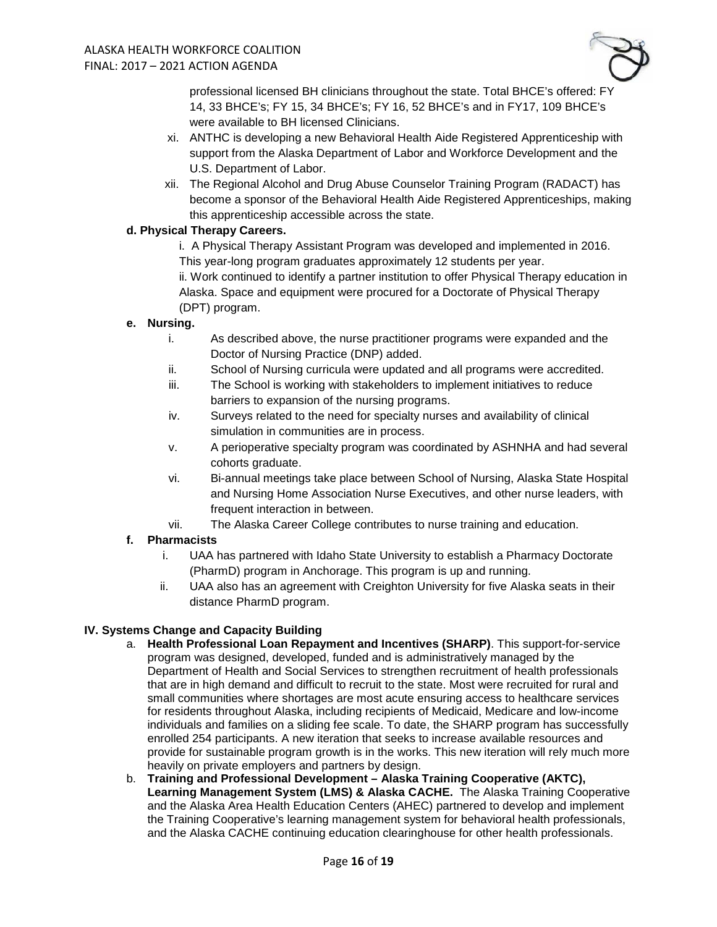

professional licensed BH clinicians throughout the state. Total BHCE's offered: FY 14, 33 BHCE's; FY 15, 34 BHCE's; FY 16, 52 BHCE's and in FY17, 109 BHCE's were available to BH licensed Clinicians.

- xi. ANTHC is developing a new Behavioral Health Aide Registered Apprenticeship with support from the Alaska Department of Labor and Workforce Development and the U.S. Department of Labor.
- xii. The Regional Alcohol and Drug Abuse Counselor Training Program (RADACT) has become a sponsor of the Behavioral Health Aide Registered Apprenticeships, making this apprenticeship accessible across the state.

### **d. Physical Therapy Careers.**

i. A Physical Therapy Assistant Program was developed and implemented in 2016. This year-long program graduates approximately 12 students per year. ii. Work continued to identify a partner institution to offer Physical Therapy education in Alaska. Space and equipment were procured for a Doctorate of Physical Therapy (DPT) program.

#### **e. Nursing.**

- i. As described above, the nurse practitioner programs were expanded and the Doctor of Nursing Practice (DNP) added.
- ii. School of Nursing curricula were updated and all programs were accredited.
- iii. The School is working with stakeholders to implement initiatives to reduce barriers to expansion of the nursing programs.
- iv. Surveys related to the need for specialty nurses and availability of clinical simulation in communities are in process.
- v. A perioperative specialty program was coordinated by ASHNHA and had several cohorts graduate.
- vi. Bi-annual meetings take place between School of Nursing, Alaska State Hospital and Nursing Home Association Nurse Executives, and other nurse leaders, with frequent interaction in between.
- vii. The Alaska Career College contributes to nurse training and education.

### **f. Pharmacists**

- i. UAA has partnered with Idaho State University to establish a Pharmacy Doctorate (PharmD) program in Anchorage. This program is up and running.
- ii. UAA also has an agreement with Creighton University for five Alaska seats in their distance PharmD program.

### **IV. Systems Change and Capacity Building**

- a. **Health Professional Loan Repayment and Incentives (SHARP)**. This support-for-service program was designed, developed, funded and is administratively managed by the Department of Health and Social Services to strengthen recruitment of health professionals that are in high demand and difficult to recruit to the state. Most were recruited for rural and small communities where shortages are most acute ensuring access to healthcare services for residents throughout Alaska, including recipients of Medicaid, Medicare and low-income individuals and families on a sliding fee scale. To date, the SHARP program has successfully enrolled 254 participants. A new iteration that seeks to increase available resources and provide for sustainable program growth is in the works. This new iteration will rely much more heavily on private employers and partners by design.
- b. **Training and Professional Development – Alaska Training Cooperative (AKTC), Learning Management System (LMS) & Alaska CACHE.** The Alaska Training Cooperative and the Alaska Area Health Education Centers (AHEC) partnered to develop and implement the Training Cooperative's learning management system for behavioral health professionals, and the Alaska CACHE continuing education clearinghouse for other health professionals.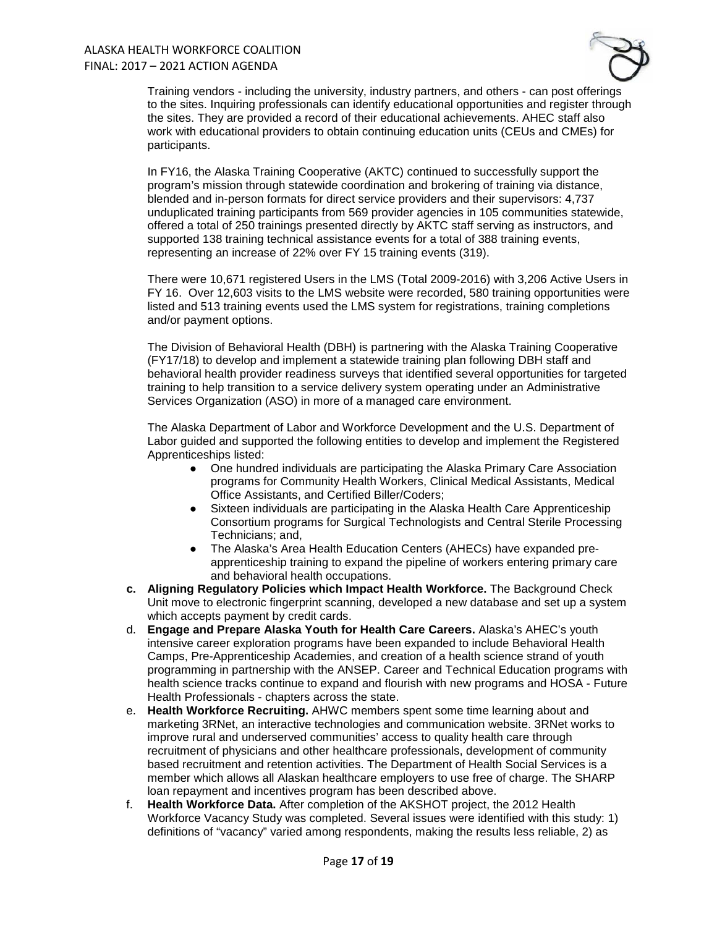

Training vendors - including the university, industry partners, and others - can post offerings to the sites. Inquiring professionals can identify educational opportunities and register through the sites. They are provided a record of their educational achievements. AHEC staff also work with educational providers to obtain continuing education units (CEUs and CMEs) for participants.

In FY16, the Alaska Training Cooperative (AKTC) continued to successfully support the program's mission through statewide coordination and brokering of training via distance, blended and in-person formats for direct service providers and their supervisors: 4,737 unduplicated training participants from 569 provider agencies in 105 communities statewide, offered a total of 250 trainings presented directly by AKTC staff serving as instructors, and supported 138 training technical assistance events for a total of 388 training events, representing an increase of 22% over FY 15 training events (319).

There were 10,671 registered Users in the LMS (Total 2009-2016) with 3,206 Active Users in FY 16. Over 12,603 visits to the LMS website were recorded, 580 training opportunities were listed and 513 training events used the LMS system for registrations, training completions and/or payment options.

The Division of Behavioral Health (DBH) is partnering with the Alaska Training Cooperative (FY17/18) to develop and implement a statewide training plan following DBH staff and behavioral health provider readiness surveys that identified several opportunities for targeted training to help transition to a service delivery system operating under an Administrative Services Organization (ASO) in more of a managed care environment.

The Alaska Department of Labor and Workforce Development and the U.S. Department of Labor guided and supported the following entities to develop and implement the Registered Apprenticeships listed:

- One hundred individuals are participating the Alaska Primary Care Association programs for Community Health Workers, Clinical Medical Assistants, Medical Office Assistants, and Certified Biller/Coders;
- Sixteen individuals are participating in the Alaska Health Care Apprenticeship Consortium programs for Surgical Technologists and Central Sterile Processing Technicians; and,
- The Alaska's Area Health Education Centers (AHECs) have expanded preapprenticeship training to expand the pipeline of workers entering primary care and behavioral health occupations.
- **c. Aligning Regulatory Policies which Impact Health Workforce.** The Background Check Unit move to electronic fingerprint scanning, developed a new database and set up a system which accepts payment by credit cards.
- d. **Engage and Prepare Alaska Youth for Health Care Careers.** Alaska's AHEC's youth intensive career exploration programs have been expanded to include Behavioral Health Camps, Pre-Apprenticeship Academies, and creation of a health science strand of youth programming in partnership with the ANSEP. Career and Technical Education programs with health science tracks continue to expand and flourish with new programs and HOSA - Future Health Professionals - chapters across the state.
- e. **Health Workforce Recruiting.** AHWC members spent some time learning about and marketing 3RNet, an interactive technologies and communication website. 3RNet works to improve rural and underserved communities' access to quality health care through recruitment of physicians and other healthcare professionals, development of community based recruitment and retention activities. The Department of Health Social Services is a member which allows all Alaskan healthcare employers to use free of charge. The SHARP loan repayment and incentives program has been described above.
- f. **Health Workforce Data.** After completion of the AKSHOT project, the 2012 Health Workforce Vacancy Study was completed. Several issues were identified with this study: 1) definitions of "vacancy" varied among respondents, making the results less reliable, 2) as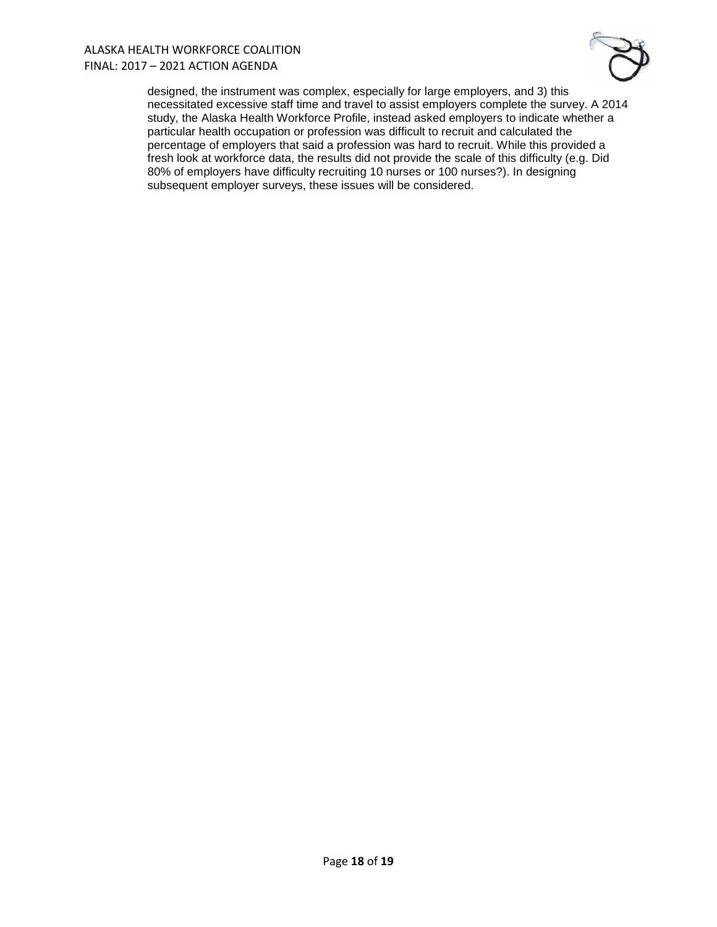#### ALASKA HEALTH WORKFORCE COALITION FINAL: 2017 – 2021 ACTION AGENDA



designed, the instrument was complex, especially for large employers, and 3) this necessitated excessive staff time and travel to assist employers complete the survey. A 2014 study, the Alaska Health Workforce Profile, instead asked employers to indicate whether a particular health occupation or profession was difficult to recruit and calculated the percentage of employers that said a profession was hard to recruit. While this provided a fresh look at workforce data, the results did not provide the scale of this difficulty (e.g. Did 80% of employers have difficulty recruiting 10 nurses or 100 nurses?). In designing subsequent employer surveys, these issues will be considered.